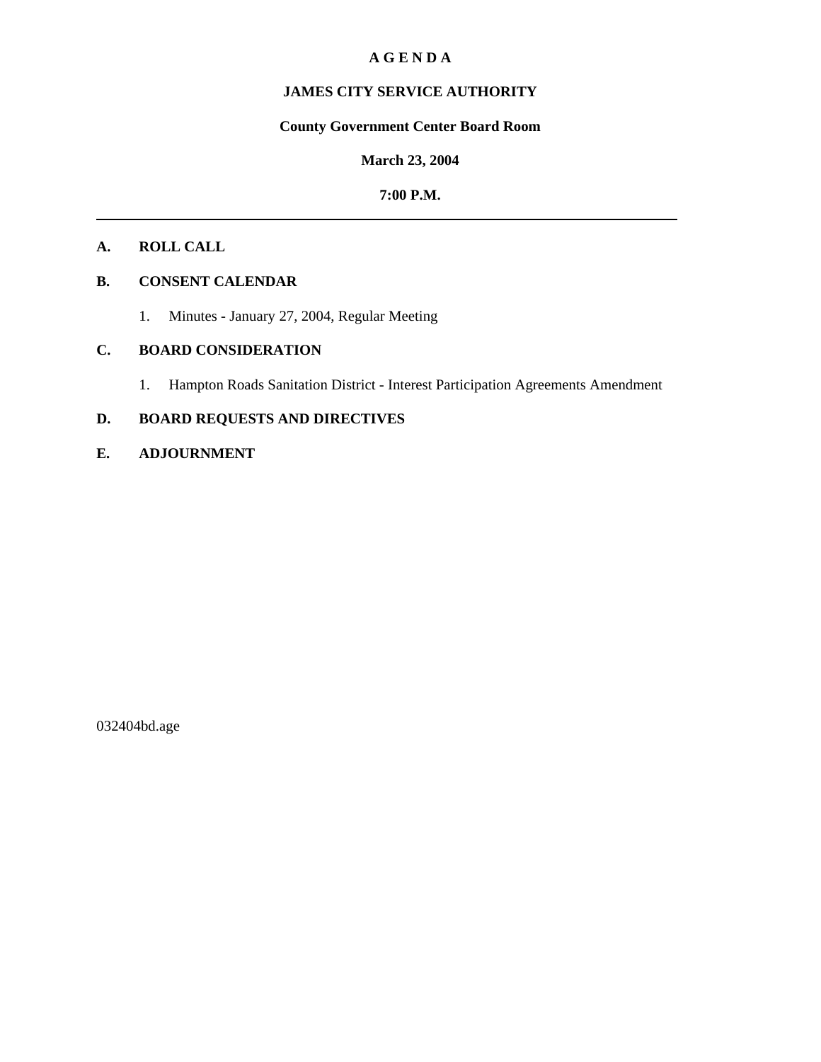## **A G E N D A**

# **JAMES CITY SERVICE AUTHORITY**

## **County Government Center Board Room**

## **March 23, 2004**

## **7:00 P.M.**

# **A. ROLL CALL**

# **B. CONSENT CALENDAR**

1. Minutes - January 27, 2004, Regular Meeting

# **C. BOARD CONSIDERATION**

1. Hampton Roads Sanitation District - Interest Participation Agreements Amendment

# **D. BOARD REQUESTS AND DIRECTIVES**

## **E. ADJOURNMENT**

032404bd.age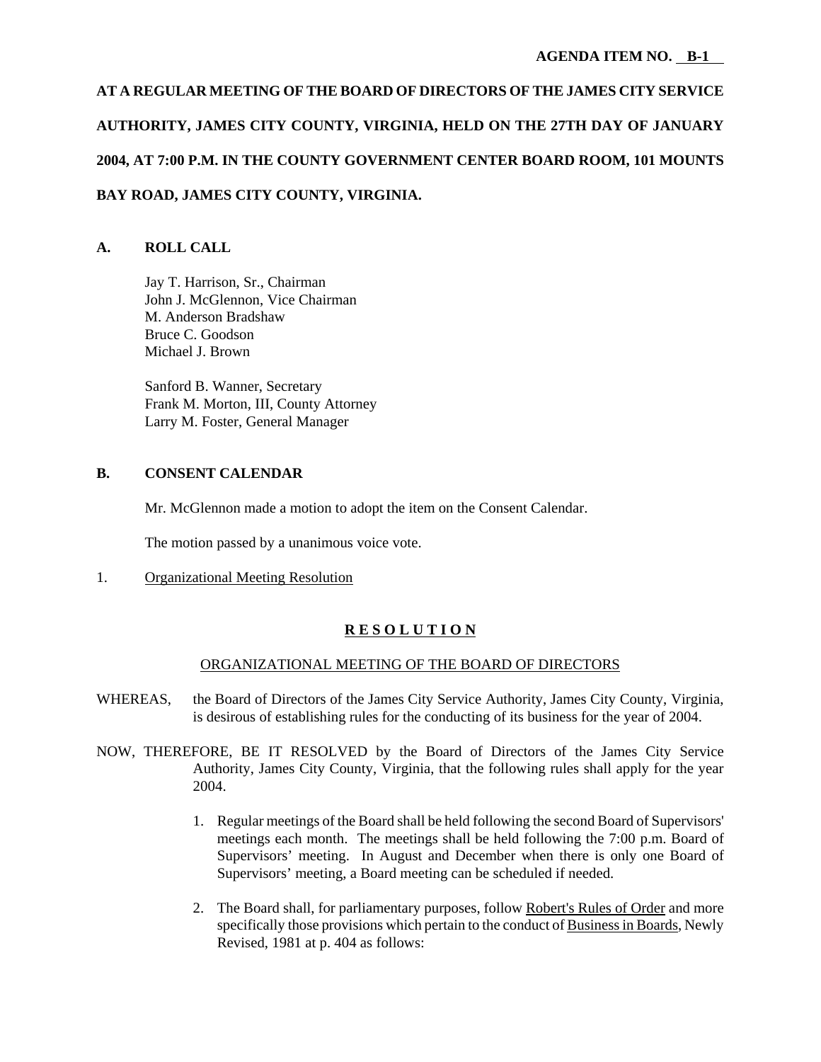# **AT A REGULAR MEETING OF THE BOARD OF DIRECTORS OF THE JAMES CITY SERVICE AUTHORITY, JAMES CITY COUNTY, VIRGINIA, HELD ON THE 27TH DAY OF JANUARY 2004, AT 7:00 P.M. IN THE COUNTY GOVERNMENT CENTER BOARD ROOM, 101 MOUNTS BAY ROAD, JAMES CITY COUNTY, VIRGINIA.**

# **A. ROLL CALL**

Jay T. Harrison, Sr., Chairman John J. McGlennon, Vice Chairman M. Anderson Bradshaw Bruce C. Goodson Michael J. Brown

Sanford B. Wanner, Secretary Frank M. Morton, III, County Attorney Larry M. Foster, General Manager

# **B. CONSENT CALENDAR**

Mr. McGlennon made a motion to adopt the item on the Consent Calendar.

The motion passed by a unanimous voice vote.

1. Organizational Meeting Resolution

# **R E S O L U T I O N**

## ORGANIZATIONAL MEETING OF THE BOARD OF DIRECTORS

- WHEREAS, the Board of Directors of the James City Service Authority, James City County, Virginia, is desirous of establishing rules for the conducting of its business for the year of 2004.
- NOW, THEREFORE, BE IT RESOLVED by the Board of Directors of the James City Service Authority, James City County, Virginia, that the following rules shall apply for the year 2004.
	- 1. Regular meetings of the Board shall be held following the second Board of Supervisors' meetings each month. The meetings shall be held following the 7:00 p.m. Board of Supervisors' meeting. In August and December when there is only one Board of Supervisors' meeting, a Board meeting can be scheduled if needed.
	- 2. The Board shall, for parliamentary purposes, follow Robert's Rules of Order and more specifically those provisions which pertain to the conduct of Business in Boards, Newly Revised, 1981 at p. 404 as follows: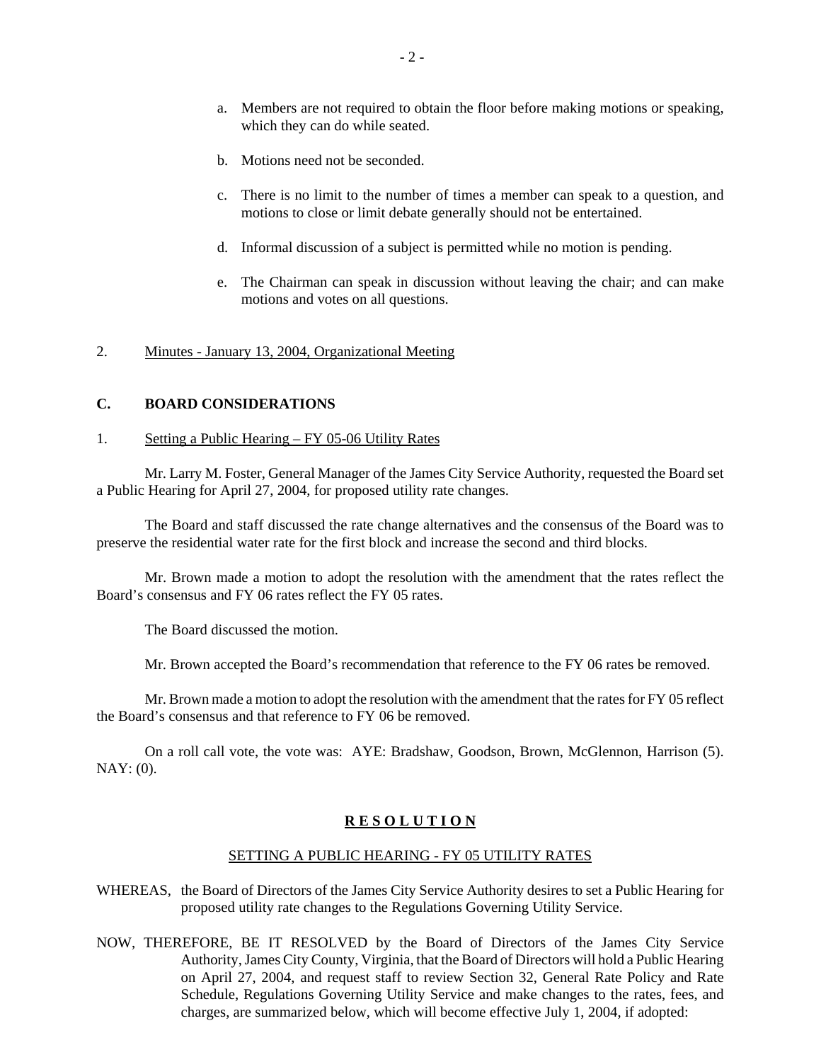- a. Members are not required to obtain the floor before making motions or speaking, which they can do while seated.
- b. Motions need not be seconded.
- c. There is no limit to the number of times a member can speak to a question, and motions to close or limit debate generally should not be entertained.
- d. Informal discussion of a subject is permitted while no motion is pending.
- e. The Chairman can speak in discussion without leaving the chair; and can make motions and votes on all questions.

#### 2. Minutes - January 13, 2004, Organizational Meeting

#### **C. BOARD CONSIDERATIONS**

#### 1. Setting a Public Hearing – FY 05-06 Utility Rates

Mr. Larry M. Foster, General Manager of the James City Service Authority, requested the Board set a Public Hearing for April 27, 2004, for proposed utility rate changes.

The Board and staff discussed the rate change alternatives and the consensus of the Board was to preserve the residential water rate for the first block and increase the second and third blocks.

Mr. Brown made a motion to adopt the resolution with the amendment that the rates reflect the Board's consensus and FY 06 rates reflect the FY 05 rates.

The Board discussed the motion.

Mr. Brown accepted the Board's recommendation that reference to the FY 06 rates be removed.

Mr. Brown made a motion to adopt the resolution with the amendment that the rates for FY 05 reflect the Board's consensus and that reference to FY 06 be removed.

On a roll call vote, the vote was: AYE: Bradshaw, Goodson, Brown, McGlennon, Harrison (5). NAY: (0).

#### **R E S O L U T I O N**

#### SETTING A PUBLIC HEARING - FY 05 UTILITY RATES

- WHEREAS, the Board of Directors of the James City Service Authority desires to set a Public Hearing for proposed utility rate changes to the Regulations Governing Utility Service.
- NOW, THEREFORE, BE IT RESOLVED by the Board of Directors of the James City Service Authority, James City County, Virginia, that the Board of Directors will hold a Public Hearing on April 27, 2004, and request staff to review Section 32, General Rate Policy and Rate Schedule, Regulations Governing Utility Service and make changes to the rates, fees, and charges, are summarized below, which will become effective July 1, 2004, if adopted: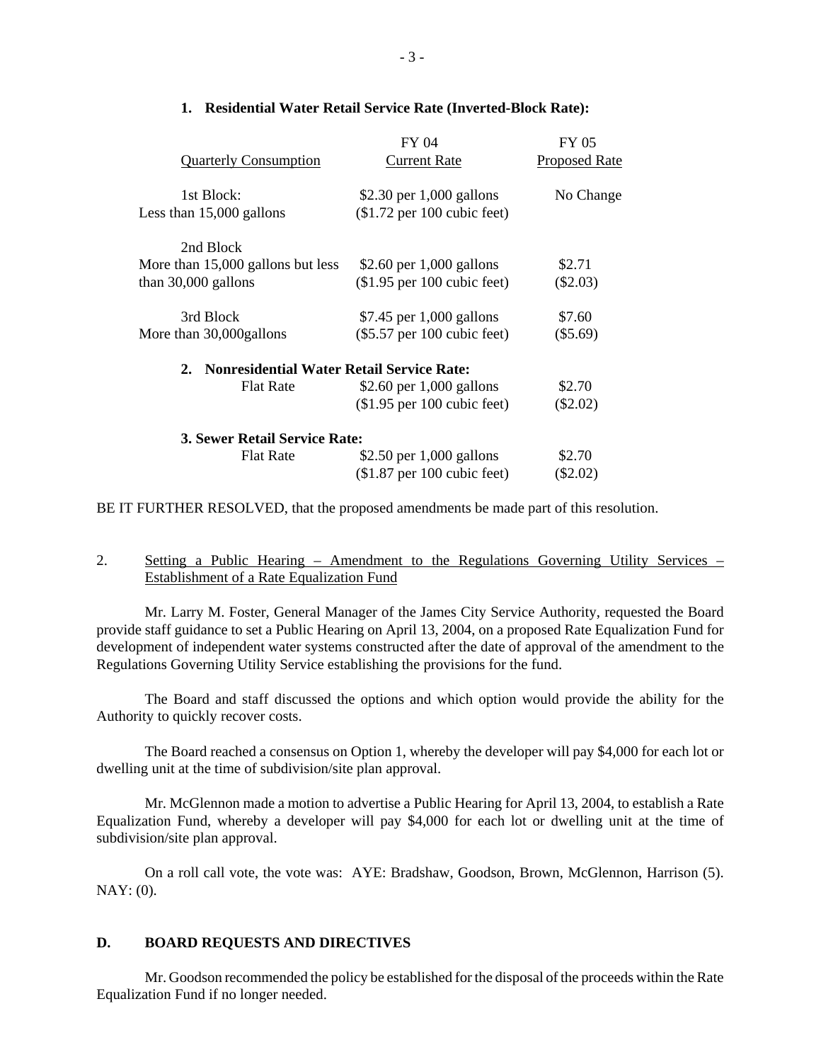|                                              | FY 04                         | <b>FY 05</b>         |
|----------------------------------------------|-------------------------------|----------------------|
| <b>Quarterly Consumption</b>                 | <b>Current Rate</b>           | <b>Proposed Rate</b> |
| 1st Block:                                   | \$2.30 per $1,000$ gallons    | No Change            |
| Less than 15,000 gallons                     | $($1.72$ per 100 cubic feet)  |                      |
| 2nd Block                                    |                               |                      |
| More than 15,000 gallons but less            | \$2.60 per $1,000$ gallons    | \$2.71               |
| than $30,000$ gallons                        | $$1.95$ per 100 cubic feet)   | $(\$2.03)$           |
| 3rd Block                                    | \$7.45 per 1,000 gallons      | \$7.60               |
| More than 30,000 gallons                     | $(\$5.57$ per 100 cubic feet) | $(\$5.69)$           |
| 2. Nonresidential Water Retail Service Rate: |                               |                      |
| <b>Flat Rate</b>                             | \$2.60 per $1,000$ gallons    | \$2.70               |
|                                              | $$1.95$ per 100 cubic feet)   | $(\$2.02)$           |
| 3. Sewer Retail Service Rate:                |                               |                      |
| <b>Flat Rate</b>                             | \$2.50 per 1,000 gallons      | \$2.70               |
|                                              | $$1.87$ per 100 cubic feet)   | $(\$2.02)$           |
|                                              |                               |                      |

#### **1. Residential Water Retail Service Rate (Inverted-Block Rate):**

BE IT FURTHER RESOLVED, that the proposed amendments be made part of this resolution.

# 2. Setting a Public Hearing – Amendment to the Regulations Governing Utility Services – Establishment of a Rate Equalization Fund

Mr. Larry M. Foster, General Manager of the James City Service Authority, requested the Board provide staff guidance to set a Public Hearing on April 13, 2004, on a proposed Rate Equalization Fund for development of independent water systems constructed after the date of approval of the amendment to the Regulations Governing Utility Service establishing the provisions for the fund.

The Board and staff discussed the options and which option would provide the ability for the Authority to quickly recover costs.

The Board reached a consensus on Option 1, whereby the developer will pay \$4,000 for each lot or dwelling unit at the time of subdivision/site plan approval.

Mr. McGlennon made a motion to advertise a Public Hearing for April 13, 2004, to establish a Rate Equalization Fund, whereby a developer will pay \$4,000 for each lot or dwelling unit at the time of subdivision/site plan approval.

On a roll call vote, the vote was: AYE: Bradshaw, Goodson, Brown, McGlennon, Harrison (5). NAY: (0).

#### **D. BOARD REQUESTS AND DIRECTIVES**

Mr. Goodson recommended the policy be established for the disposal of the proceeds within the Rate Equalization Fund if no longer needed.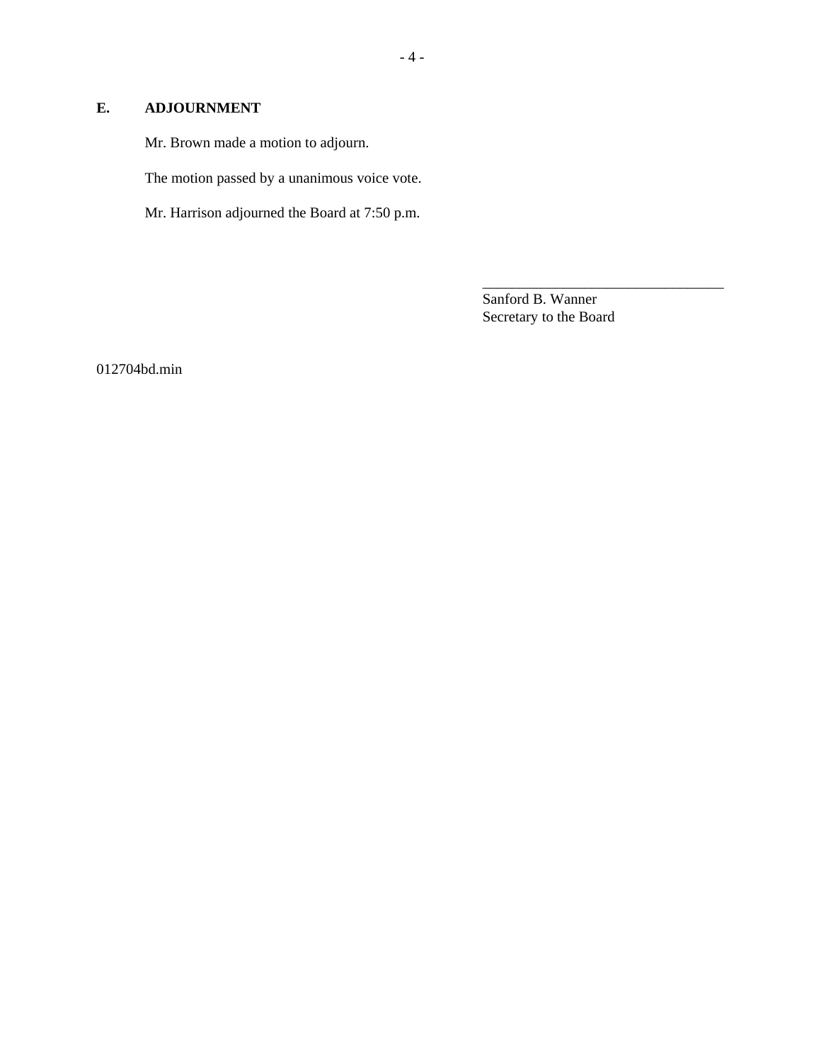## **E. ADJOURNMENT**

Mr. Brown made a motion to adjourn.

The motion passed by a unanimous voice vote.

Mr. Harrison adjourned the Board at 7:50 p.m.

Sanford B. Wanner Secretary to the Board

\_\_\_\_\_\_\_\_\_\_\_\_\_\_\_\_\_\_\_\_\_\_\_\_\_\_\_\_\_\_\_\_\_

012704bd.min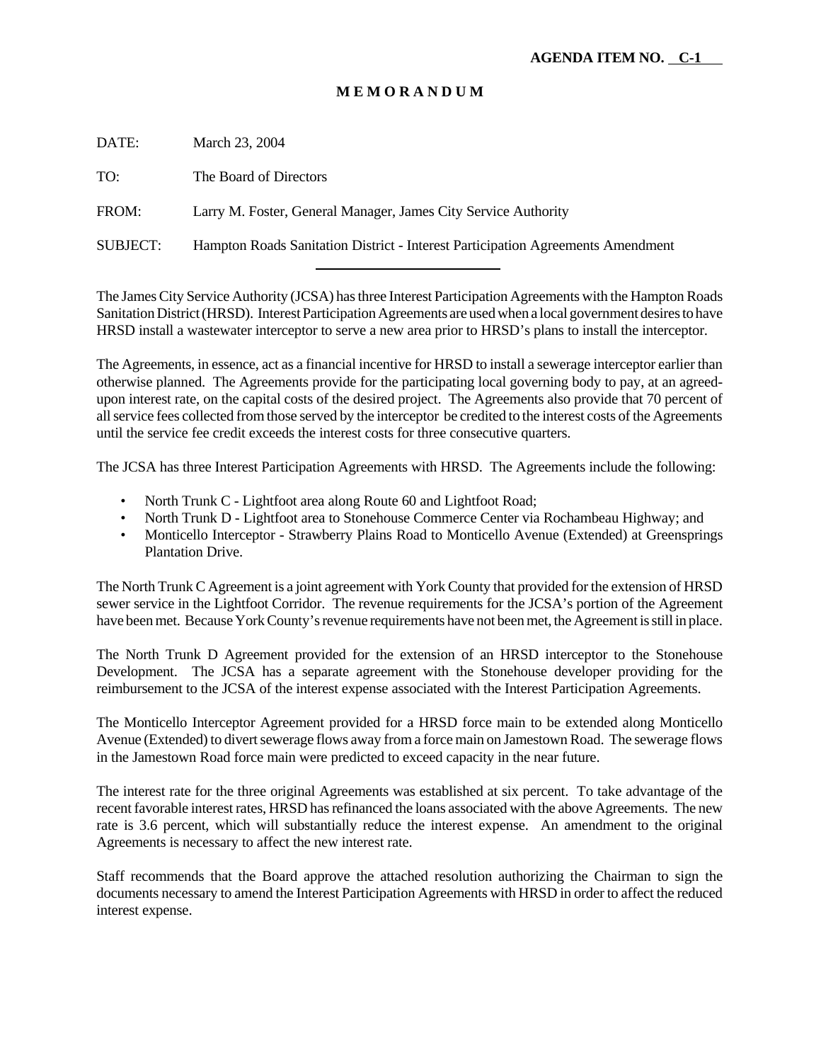# **M E M O R A N D U M**

DATE: March 23, 2004 TO: The Board of Directors FROM: Larry M. Foster, General Manager, James City Service Authority

l

SUBJECT: Hampton Roads Sanitation District - Interest Participation Agreements Amendment

The James City Service Authority (JCSA) has three Interest Participation Agreements with the Hampton Roads Sanitation District (HRSD). Interest Participation Agreements are used when a local government desires to have HRSD install a wastewater interceptor to serve a new area prior to HRSD's plans to install the interceptor.

The Agreements, in essence, act as a financial incentive for HRSD to install a sewerage interceptor earlier than otherwise planned. The Agreements provide for the participating local governing body to pay, at an agreedupon interest rate, on the capital costs of the desired project. The Agreements also provide that 70 percent of all service fees collected from those served by the interceptor be credited to the interest costs of the Agreements until the service fee credit exceeds the interest costs for three consecutive quarters.

The JCSA has three Interest Participation Agreements with HRSD. The Agreements include the following:

- North Trunk C Lightfoot area along Route 60 and Lightfoot Road;
- North Trunk D Lightfoot area to Stonehouse Commerce Center via Rochambeau Highway; and
- Monticello Interceptor Strawberry Plains Road to Monticello Avenue (Extended) at Greensprings Plantation Drive.

The North Trunk C Agreement is a joint agreement with York County that provided for the extension of HRSD sewer service in the Lightfoot Corridor. The revenue requirements for the JCSA's portion of the Agreement have been met. Because York County's revenue requirements have not been met, the Agreement is still in place.

The North Trunk D Agreement provided for the extension of an HRSD interceptor to the Stonehouse Development. The JCSA has a separate agreement with the Stonehouse developer providing for the reimbursement to the JCSA of the interest expense associated with the Interest Participation Agreements.

The Monticello Interceptor Agreement provided for a HRSD force main to be extended along Monticello Avenue (Extended) to divert sewerage flows away from a force main on Jamestown Road. The sewerage flows in the Jamestown Road force main were predicted to exceed capacity in the near future.

The interest rate for the three original Agreements was established at six percent. To take advantage of the recent favorable interest rates, HRSD has refinanced the loans associated with the above Agreements. The new rate is 3.6 percent, which will substantially reduce the interest expense. An amendment to the original Agreements is necessary to affect the new interest rate.

Staff recommends that the Board approve the attached resolution authorizing the Chairman to sign the documents necessary to amend the Interest Participation Agreements with HRSD in order to affect the reduced interest expense.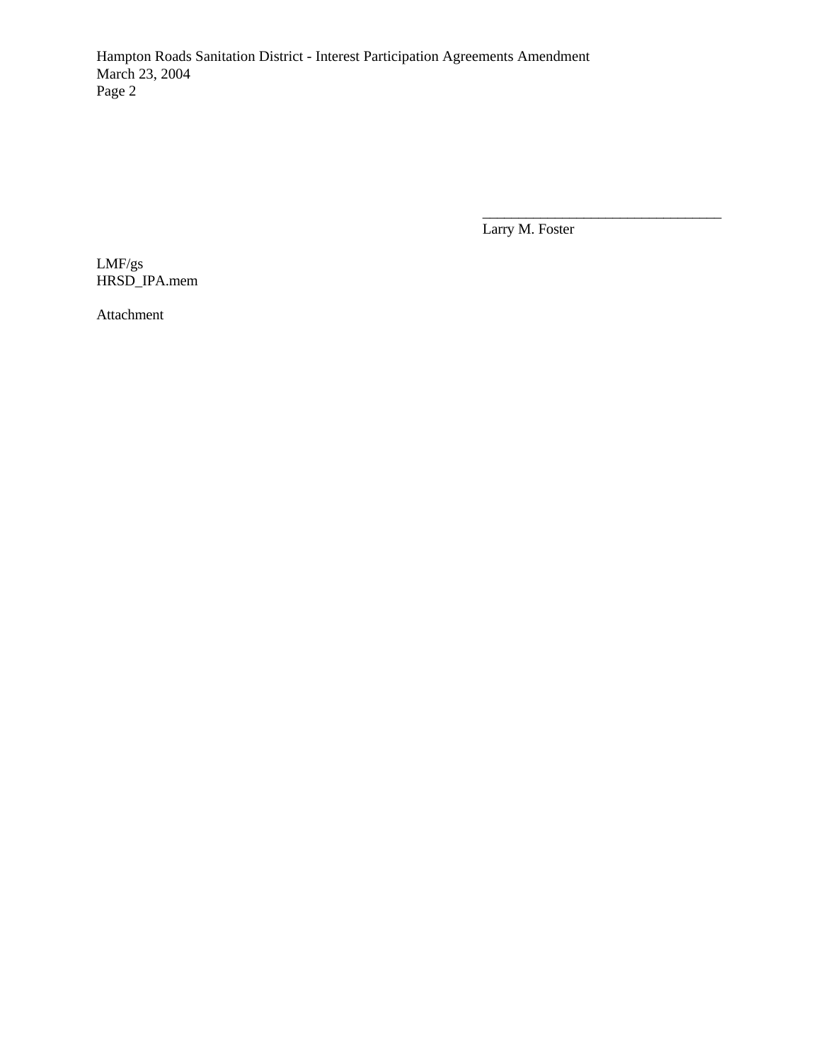Hampton Roads Sanitation District - Interest Participation Agreements Amendment March 23, 2004 Page 2

Larry M. Foster

\_\_\_\_\_\_\_\_\_\_\_\_\_\_\_\_\_\_\_\_\_\_\_\_\_\_\_\_\_\_\_\_\_

LMF/gs HRSD\_IPA.mem

Attachment